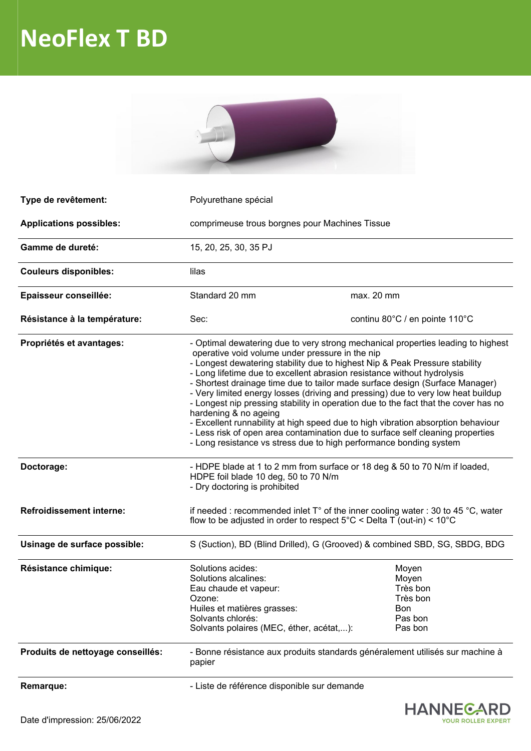## **NeoFlex T BD**



| Type de revêtement:               | Polyurethane spécial                                                                                                                                                                                                                                                                                                                                                                                                                                                                                                                                                                                                                                                                                                                                                                                                          |                                                                     |
|-----------------------------------|-------------------------------------------------------------------------------------------------------------------------------------------------------------------------------------------------------------------------------------------------------------------------------------------------------------------------------------------------------------------------------------------------------------------------------------------------------------------------------------------------------------------------------------------------------------------------------------------------------------------------------------------------------------------------------------------------------------------------------------------------------------------------------------------------------------------------------|---------------------------------------------------------------------|
| <b>Applications possibles:</b>    | comprimeuse trous borgnes pour Machines Tissue                                                                                                                                                                                                                                                                                                                                                                                                                                                                                                                                                                                                                                                                                                                                                                                |                                                                     |
| Gamme de dureté:                  | 15, 20, 25, 30, 35 PJ                                                                                                                                                                                                                                                                                                                                                                                                                                                                                                                                                                                                                                                                                                                                                                                                         |                                                                     |
| <b>Couleurs disponibles:</b>      | lilas                                                                                                                                                                                                                                                                                                                                                                                                                                                                                                                                                                                                                                                                                                                                                                                                                         |                                                                     |
| Epaisseur conseillée:             | Standard 20 mm                                                                                                                                                                                                                                                                                                                                                                                                                                                                                                                                                                                                                                                                                                                                                                                                                | max. 20 mm                                                          |
| Résistance à la température:      | Sec:                                                                                                                                                                                                                                                                                                                                                                                                                                                                                                                                                                                                                                                                                                                                                                                                                          | continu 80°C / en pointe 110°C                                      |
| Propriétés et avantages:          | - Optimal dewatering due to very strong mechanical properties leading to highest<br>operative void volume under pressure in the nip<br>- Longest dewatering stability due to highest Nip & Peak Pressure stability<br>- Long lifetime due to excellent abrasion resistance without hydrolysis<br>- Shortest drainage time due to tailor made surface design (Surface Manager)<br>- Very limited energy losses (driving and pressing) due to very low heat buildup<br>- Longest nip pressing stability in operation due to the fact that the cover has no<br>hardening & no ageing<br>- Excellent runnability at high speed due to high vibration absorption behaviour<br>- Less risk of open area contamination due to surface self cleaning properties<br>- Long resistance vs stress due to high performance bonding system |                                                                     |
| Doctorage:                        | - HDPE blade at 1 to 2 mm from surface or 18 deg & 50 to 70 N/m if loaded,<br>HDPE foil blade 10 deg, 50 to 70 N/m<br>- Dry doctoring is prohibited                                                                                                                                                                                                                                                                                                                                                                                                                                                                                                                                                                                                                                                                           |                                                                     |
| <b>Refroidissement interne:</b>   | if needed: recommended inlet $T^{\circ}$ of the inner cooling water: 30 to 45 °C, water<br>flow to be adjusted in order to respect $5^{\circ}$ C < Delta T (out-in) < $10^{\circ}$ C                                                                                                                                                                                                                                                                                                                                                                                                                                                                                                                                                                                                                                          |                                                                     |
| Usinage de surface possible:      | S (Suction), BD (Blind Drilled), G (Grooved) & combined SBD, SG, SBDG, BDG                                                                                                                                                                                                                                                                                                                                                                                                                                                                                                                                                                                                                                                                                                                                                    |                                                                     |
| Résistance chimique:              | Solutions acides:<br>Solutions alcalines:<br>Eau chaude et vapeur:<br>Ozone:<br>Huiles et matières grasses:<br>Solvants chlorés:<br>Solvants polaires (MEC, éther, acétat,):                                                                                                                                                                                                                                                                                                                                                                                                                                                                                                                                                                                                                                                  | Moyen<br>Moyen<br>Très bon<br>Très bon<br>Bon<br>Pas bon<br>Pas bon |
| Produits de nettoyage conseillés: | - Bonne résistance aux produits standards généralement utilisés sur machine à<br>papier                                                                                                                                                                                                                                                                                                                                                                                                                                                                                                                                                                                                                                                                                                                                       |                                                                     |
| Remarque:                         | - Liste de référence disponible sur demande                                                                                                                                                                                                                                                                                                                                                                                                                                                                                                                                                                                                                                                                                                                                                                                   |                                                                     |